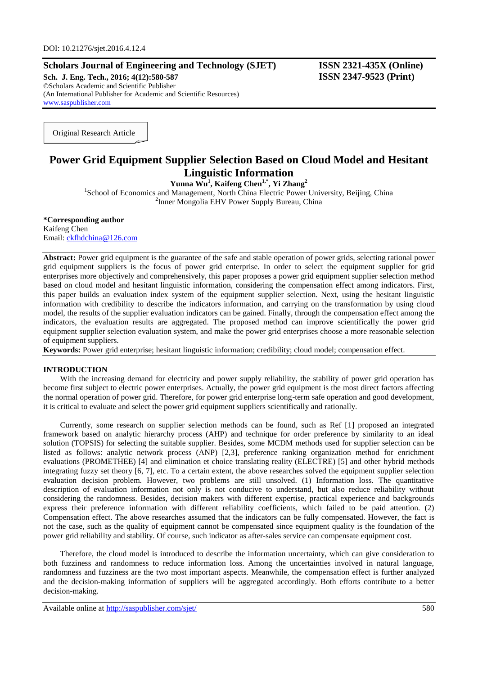# **Scholars Journal of Engineering and Technology (SJET) ISSN 2321-435X (Online)**

**Sch. J. Eng. Tech., 2016; 4(12):580-587 ISSN 2347-9523 (Print)** ©Scholars Academic and Scientific Publisher (An International Publisher for Academic and Scientific Resources) [www.saspublisher.com](http://www.saspublisher.com/)

Original Research Article

# **Power Grid Equipment Supplier Selection Based on Cloud Model and Hesitant Linguistic Information**

**Yunna Wu<sup>1</sup> , Kaifeng Chen1,\* , Yi Zhang<sup>2</sup>** 1 School of Economics and Management, North China Electric Power University, Beijing, China 2 Inner Mongolia EHV Power Supply Bureau, China

**\*Corresponding author** Kaifeng Chen Email: [ckfhdchina@126.com](mailto:ckfhdchina@126.com)

**Abstract:** Power grid equipment is the guarantee of the safe and stable operation of power grids, selecting rational power grid equipment suppliers is the focus of power grid enterprise. In order to select the equipment supplier for grid enterprises more objectively and comprehensively, this paper proposes a power grid equipment supplier selection method based on cloud model and hesitant linguistic information, considering the compensation effect among indicators. First, this paper builds an evaluation index system of the equipment supplier selection. Next, using the hesitant linguistic information with credibility to describe the indicators information, and carrying on the transformation by using cloud model, the results of the supplier evaluation indicators can be gained. Finally, through the compensation effect among the indicators, the evaluation results are aggregated. The proposed method can improve scientifically the power grid equipment supplier selection evaluation system, and make the power grid enterprises choose a more reasonable selection of equipment suppliers.

**Keywords:** Power grid enterprise; hesitant linguistic information; credibility; cloud model; compensation effect.

#### **INTRODUCTION**

With the increasing demand for electricity and power supply reliability, the stability of power grid operation has become first subject to electric power enterprises. Actually, the power grid equipment is the most direct factors affecting the normal operation of power grid. Therefore, for power grid enterprise long-term safe operation and good development, it is critical to evaluate and select the power grid equipment suppliers scientifically and rationally.

Currently, some research on supplier selection methods can be found, such as Ref [1] proposed an integrated framework based on analytic hierarchy process (AHP) and technique for order preference by similarity to an ideal solution (TOPSIS) for selecting the suitable supplier. Besides, some MCDM methods used for supplier selection can be listed as follows: analytic network process (ANP) [2,3], preference ranking organization method for enrichment evaluations (PROMETHEE) [4] and elimination et choice translating reality (ELECTRE) [5] and other hybrid methods integrating fuzzy set theory [6, 7], etc. To a certain extent, the above researches solved the equipment supplier selection evaluation decision problem. However, two problems are still unsolved. (1) Information loss. The quantitative description of evaluation information not only is not conducive to understand, but also reduce reliability without considering the randomness. Besides, decision makers with different expertise, practical experience and backgrounds express their preference information with different reliability coefficients, which failed to be paid attention. (2) Compensation effect. The above researches assumed that the indicators can be fully compensated. However, the fact is not the case, such as the quality of equipment cannot be compensated since equipment quality is the foundation of the power grid reliability and stability. Of course, such indicator as after-sales service can compensate equipment cost.

Therefore, the cloud model is introduced to describe the information uncertainty, which can give consideration to both fuzziness and randomness to reduce information loss. Among the uncertainties involved in natural language, randomness and fuzziness are the two most important aspects. Meanwhile, the compensation effect is further analyzed and the decision-making information of suppliers will be aggregated accordingly. Both efforts contribute to a better decision-making.

Available online at<http://saspublisher.com/sjet/> 580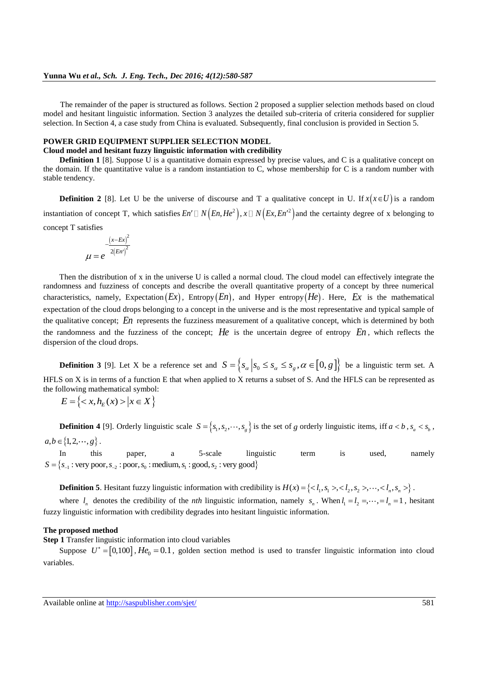The remainder of the paper is structured as follows. Section 2 proposed a supplier selection methods based on cloud model and hesitant linguistic information. Section 3 analyzes the detailed sub-criteria of criteria considered for supplier selection. In Section 4, a case study from China is evaluated. Subsequently, final conclusion is provided in Section 5.

# **POWER GRID EQUIPMENT SUPPLIER SELECTION MODEL**

**Cloud model and hesitant fuzzy linguistic information with credibility Definition 1** [8]. Suppose U is a quantitative domain expressed by precise values, and C is a qualitative concept on

the domain. If the quantitative value is a random instantiation to C, whose membership for C is a random number with stable tendency.

**Definition 2** [8]. Let U be the universe of discourse and T a qualitative concept in U. If  $x(x \in U)$  is a random instantiation of concept T, which satisfies  $En' \Box N(En, He^2), x \Box N(Ex, En'^2)$  and the certainty degree of x belonging to concept T satisfies

$$
\mu = e^{-\frac{(x - Ex)^2}{2(En')^2}}
$$

Then the distribution of x in the universe U is called a normal cloud. The cloud model can effectively integrate the randomness and fuzziness of concepts and describe the overall quantitative property of a concept by three numerical characteristics, namely, Expectation  $(EX)$ , Entropy  $(En)$ , and Hyper entropy  $(He)$ . Here, Ex is the mathematical expectation of the cloud drops belonging to a concept in the universe and is the most representative and typical sample of the qualitative concept; En represents the fuzziness measurement of a qualitative concept, which is determined by both the randomness and the fuzziness of the concept; *He* is the uncertain degree of entropy *En* , which reflects the dispersion of the cloud drops.

**Definition 3** [9]. Let X be a reference set and  $S = \{s_\alpha | s_0 \leq s_\alpha \leq s_\alpha, \alpha \in [0, g]\}$  be a linguistic term set. A HFLS on X is in terms of a function E that when applied to X returns a subset of S. And the HFLS can be represented as the following mathematical symbol:<br> $E = \{ \langle x, h_E(x) \rangle | x \in X \}$ 

$$
E = \left\{ \langle x, h_E(x) \rangle \, | x \in X \right\}
$$

**Definition 4** [9]. Orderly linguistic scale  $S = \{s_1, s_2, \dots, s_g\}$  is the set of g orderly linguistic items, iff  $a < b$ ,  $s_a < s_b$ ,  $a, b \in \{1, 2, \dots, g\}.$ 

In this paper, a 5-scale linguistic term is used, namely In this paper, a 5-scale linguistic  $S = \{s_{-1} : \text{very poor}, s_{-2} : \text{poor}, s_0 : \text{medium}, s_1 : \text{good}, s_2 : \text{very good}\}\$ 

**Definition 5**. Hesitant fuzzy linguistic information with credibility is  $H(x) = \{, , \cdots, \}$ .

where  $l_n$  denotes the credibility of the *nth* linguistic information, namely  $s_n$ . When  $l_1 = l_2 = \cdots = l_n = 1$ , hesitant fuzzy linguistic information with credibility degrades into hesitant linguistic information.

#### **The proposed method**

**Step 1** Transfer linguistic information into cloud variables

Suppose  $U^* = [0,100]$ ,  $He_0 = 0.1$ , golden section method is used to transfer linguistic information into cloud variables.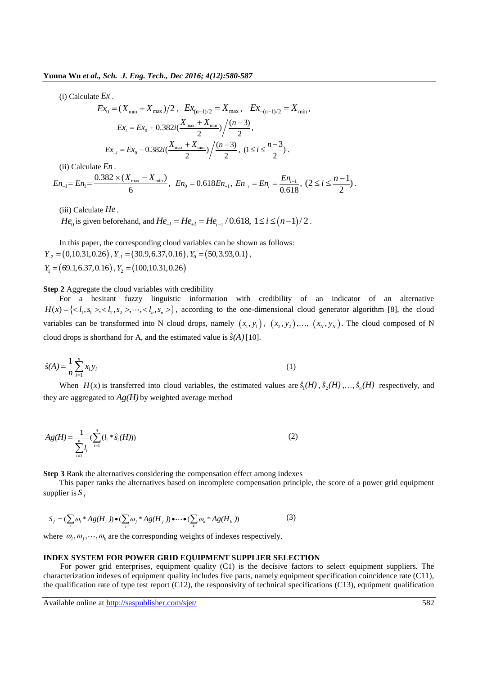(i) Calculate *Ex* .

$$
Ex_{0} = (X_{\min} + X_{\max})/2, \quad Ex_{(n-1)/2} = X_{\max}, \quad Ex_{-(n-1)/2} = X_{\min},
$$

$$
Ex_{i} = Ex_{0} + 0.382i(\frac{X_{\max} + X_{\min}}{2}) / \frac{(n-3)}{2},
$$

$$
Ex_{-i} = Ex_{0} - 0.382i(\frac{X_{\max} + X_{\min}}{2}) / \frac{(n-3)}{2}, \quad (1 \le i \le \frac{n-3}{2}).
$$

(ii) Calculate *En* .

 $m_1 = En_1 = \frac{0.382 \times (X_{\text{max}} - X_{\text{min}})}{6}$ tte *En* .<br>0.382 × ( $X_{\text{max}} - X_{\text{min}}$ ) (ii) Calculate *En* .<br>  $En_{-1} = En_1 = \frac{0.382 \times (X_{\text{max}} - X_{\text{min}})}{6}$ ,  $En_0 = 0.618En_{+1}$ ,  $En_{-i} = En_i = \frac{En_{i-1}}{0.618}$ , 0.618  $E_{i} = En_{i} = \frac{En_{i}}{0.61}$  $En_{-i} = En_i = \frac{En_{i-1}}{2}$ ,  $(2 \le i \le \frac{n-1}{2})$ 2  $\leq i \leq \frac{n-1}{2}$ .

(iii) Calculate *He* .

(iii) Calculate *He* .<br> *He*<sub>0</sub> is given beforehand, and *He*<sub>-*i*</sub></sub> = *He*<sub>+*i*</sub></sub> = *He*<sub>i-1</sub> / 0.618, 1 ≤ *i* ≤ (*n*-1)/2.

In this paper, the corresponding cloud variables can be shown as follows:  $Y_{-2} = (0,10.31,0.26)$ ,  $Y_{-1} = (30.9,6.37,0.16)$ ,  $Y_0 = (50,3.93,0.1)$ , *Y*<sub>1</sub> = (69.1, 6.37, 0.16), *Y*<sub>2</sub> = (100, 10.31, 0.26)

#### **Step 2** Aggregate the cloud variables with credibility

For a hesitant fuzzy linguistic information with credibility of an indicator of an alternative For a hesitant fuzzy linguistic information with credibility of an indicator of an alternative  $H(x) = \{, , \cdots, \}$ , according to the one-dimensional cloud generator algorithm [8], the cloud variables can be transformed into N cloud drops, namely  $(x_1, y_1)$ ,  $(x_2, y_2)$ ,...,  $(x_N, y_N)$ . The cloud composed of N cloud drops is shorthand for A, and the estimated value is  $\hat{s}(A)$  [10].

$$
\hat{s}(A) = \frac{1}{n} \sum_{i=1}^{n} x_i y_i
$$
 (1)

When  $H(x)$  is transferred into cloud variables, the estimated values are  $\hat{s}_1(H)$ ,  $\hat{s}_2(H)$ ,...,  $\hat{s}_n(H)$  respectively, and they are aggregated to  $Ag(H)$  by weighted average method

$$
Ag(H) = \frac{1}{\sum_{i=1}^{n} l_i} (\sum_{i=1}^{n} (l_i * \hat{s}_i(H)))
$$
\n(2)

**Step 3** Rank the alternatives considering the compensation effect among indexes

This paper ranks the alternatives based on incomplete compensation principle, the score of a power grid equipment supplier is *f S*

unplier is 
$$
S_f
$$
  
\n
$$
S_f = (\sum_i \omega_i * Ag(H_i)) \bullet (\sum_j \omega_j * Ag(H_j)) \bullet \cdots \bullet (\sum_k \omega_k * Ag(H_k))
$$
\n(3)

where  $\omega_i, \omega_j, \dots, \omega_k$  are the corresponding weights of indexes respectively.

#### **INDEX SYSTEM FOR POWER GRID EQUIPMENT SUPPLIER SELECTION**

For power grid enterprises, equipment quality (C1) is the decisive factors to select equipment suppliers. The characterization indexes of equipment quality includes five parts, namely equipment specification coincidence rate (C11), the qualification rate of type test report  $(C12)$ , the responsivity of technical specifications  $(C13)$ , equipment qualification

Available online at<http://saspublisher.com/sjet/> 582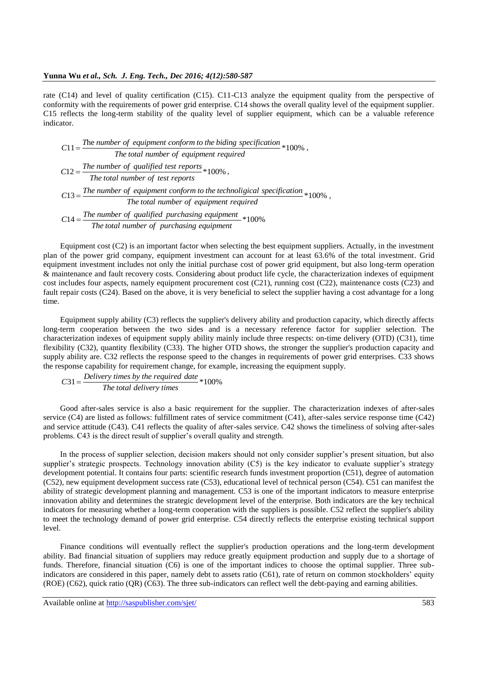rate (C14) and level of quality certification (C15). C11-C13 analyze the equipment quality from the perspective of conformity with the requirements of power grid enterprise. C14 shows the overall quality level of the equipment supplier. C15 reflects the long-term stability of the quality level of supplier equipment, which can be a valuable reference indicator.

he 11 \*100% *T number of equipment conform to the biding specification <sup>C</sup>* , *The total number of equipment required* The total number of equipment requalified test reports<br>  $C12 = \frac{The number of qualified test reports}{The total number of test reports} * 100\%$ ,  $C12 = \frac{The number of qualified test reports}{The total number of test reports} * 100\%$ ,<br>  $C13 = \frac{The number of equipment conform to the technological specification} {The total number of equipment required} * 100\%$  $=\frac{1}{2}$  $14 =$  The number of equipment required<br>  $14 =$  The number of qualified purchasing equipment<br>  $100\%$ <br>
The total number of purchasing equipment  $=$ 

Equipment cost (C2) is an important factor when selecting the best equipment suppliers. Actually, in the investment plan of the power grid company, equipment investment can account for at least 63.6% of the total investment. Grid equipment investment includes not only the initial purchase cost of power grid equipment, but also long-term operation & maintenance and fault recovery costs. Considering about product life cycle, the characterization indexes of equipment cost includes four aspects, namely equipment procurement cost (C21), running cost (C22), maintenance costs (C23) and fault repair costs (C24). Based on the above, it is very beneficial to select the supplier having a cost advantage for a long time.

Equipment supply ability (C3) reflects the supplier's delivery ability and production capacity, which directly affects long-term cooperation between the two sides and is a necessary reference factor for supplier selection. The characterization indexes of equipment supply ability mainly include three respects: on-time delivery (OTD) (C31), time flexibility (C32), quantity flexibility (C33). The higher OTD shows, the stronger the supplier's production capacity and supply ability are. C32 reflects the response speed to the changes in requirements of power grid enterprises. C33 shows the response capability for requirement change, for example, increasing the equipment supply.

sponse capability for requirement change, for exar<br>  $C31 = \frac{Delivery \ times \ by \ the \ required \ date}{The \ total \ delivery \ times} * 100\%$ 

Good after-sales service is also a basic requirement for the supplier. The characterization indexes of after-sales service (C4) are listed as follows: fulfillment rates of service commitment (C41), after-sales service response time (C42) and service attitude (C43). C41 reflects the quality of after-sales service. C42 shows the timeliness of solving after-sales problems. C43 is the direct result of supplier's overall quality and strength.

In the process of supplier selection, decision makers should not only consider supplier's present situation, but also supplier's strategic prospects. Technology innovation ability (C5) is the key indicator to evaluate supplier's strategy development potential. It contains four parts: scientific research funds investment proportion (C51), degree of automation (C52), new equipment development success rate (C53), educational level of technical person (C54). C51 can manifest the ability of strategic development planning and management. C53 is one of the important indicators to measure enterprise innovation ability and determines the strategic development level of the enterprise. Both indicators are the key technical indicators for measuring whether a long-term cooperation with the suppliers is possible. C52 reflect the supplier's ability to meet the technology demand of power grid enterprise. C54 directly reflects the enterprise existing technical support level.

Finance conditions will eventually reflect the supplier's production operations and the long-term development ability. Bad financial situation of suppliers may reduce greatly equipment production and supply due to a shortage of funds. Therefore, financial situation (C6) is one of the important indices to choose the optimal supplier. Three subindicators are considered in this paper, namely debt to assets ratio (C61), rate of return on common stockholders' equity (ROE) (C62), quick ratio (QR) (C63). The three sub-indicators can reflect well the debt-paying and earning abilities.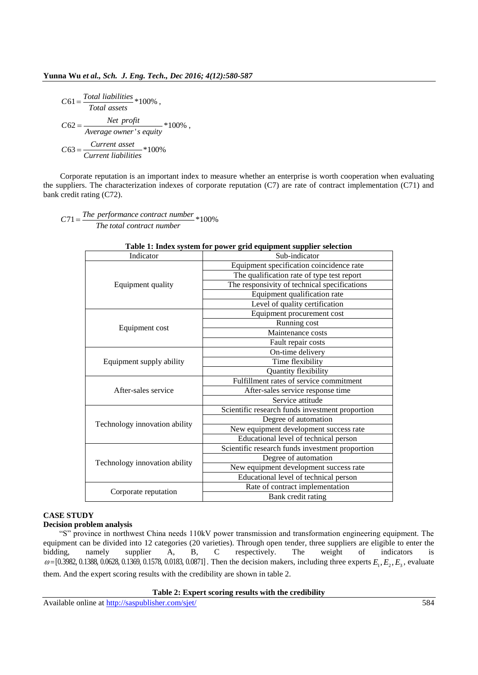$$
C61 = \frac{Total liabilities}{Total assets} * 100\%,
$$
  
\n
$$
C62 = \frac{Net profit}{Average owner's equity} * 100\%,
$$
  
\n
$$
C63 = \frac{Current asset}{Current liabilities} * 100\%
$$

Corporate reputation is an important index to measure whether an enterprise is worth cooperation when evaluating the suppliers. The characterization indexes of corporate reputation (C7) are rate of contract implementation (C71) and bank credit rating (C72).

 $C71 = \frac{The\ performance\ contract\ number}{The\ total\ contract\ number} * 100\%$ 

| Indicator                     | Sub-indicator                                   |  |
|-------------------------------|-------------------------------------------------|--|
|                               | Equipment specification coincidence rate        |  |
| Equipment quality             | The qualification rate of type test report      |  |
|                               | The responsivity of technical specifications    |  |
|                               | Equipment qualification rate                    |  |
|                               | Level of quality certification                  |  |
|                               | Equipment procurement cost                      |  |
|                               | Running cost                                    |  |
| Equipment cost                | Maintenance costs                               |  |
|                               | Fault repair costs                              |  |
|                               | On-time delivery                                |  |
| Equipment supply ability      | Time flexibility                                |  |
|                               | Quantity flexibility                            |  |
|                               | Fulfillment rates of service commitment         |  |
| After-sales service           | After-sales service response time               |  |
|                               | Service attitude                                |  |
|                               | Scientific research funds investment proportion |  |
| Technology innovation ability | Degree of automation                            |  |
|                               | New equipment development success rate          |  |
|                               | Educational level of technical person           |  |
|                               | Scientific research funds investment proportion |  |
| Technology innovation ability | Degree of automation                            |  |
|                               | New equipment development success rate          |  |
|                               | Educational level of technical person           |  |
| Corporate reputation          | Rate of contract implementation                 |  |
|                               | Bank credit rating                              |  |

# **Table 1: Index system for power grid equipment supplier selection**

## **CASE STUDY**

### **Decision problem analysis**

"S" province in northwest China needs 110kV power transmission and transformation engineering equipment. The equipment can be divided into 12 categories (20 varieties). Through open tender, three suppliers are eligible to enter the bidding, namely supplier A, B, C respectively. The weight of indicators is bidding, namely supplier A, B, C respectively. The weight of indicators is  $\omega = [0.3982, 0.1388, 0.0628, 0.1369, 0.1578, 0.0183, 0.0871]$ . Then the decision makers, including three experts  $E_1, E_2, E_3$ , evaluate them. And the expert scoring results with the credibility are shown in table 2.

#### **Table 2: Expert scoring results with the credibility**

Available online at<http://saspublisher.com/sjet/> 584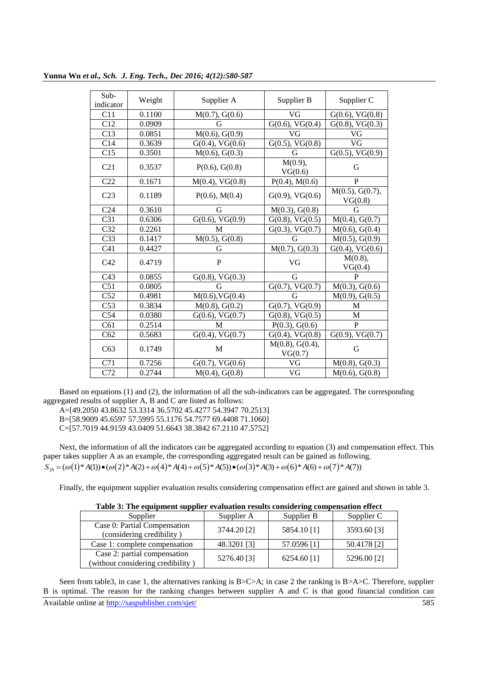| Sub-             | Weight | Supplier A                      | Supplier B                 | Supplier C                        |
|------------------|--------|---------------------------------|----------------------------|-----------------------------------|
| indicator<br>C11 | 0.1100 |                                 | VG                         |                                   |
|                  |        | M(0.7), G(0.6)                  |                            | $G(0.6)$ , V $G(0.8)$             |
| C12              | 0.0909 | G                               | $G(0.6)$ , V $G(0.4)$      | $G(0.8)$ , V $G(0.3)$             |
| C13              | 0.0851 | $\overline{M(0.6)}$ , G $(0.9)$ | VG                         | VG                                |
| C14              | 0.3639 | $G(0.4)$ , V $G(0.6)$           | $G(0.5)$ , V $G(0.8)$      | VG                                |
| C15              | 0.3501 | M(0.6), G(0.3)                  | G                          | $G(0.5)$ , V $G(0.9)$             |
| C21              | 0.3537 | P(0.6), G(0.8)                  | M(0.9),<br>VG(0.6)         | G                                 |
| C22              | 0.1671 | $M(0.4)$ , VG $(0.8)$           | $P(0.4)$ , M $(0.6)$       | $\mathbf{P}$                      |
| C <sub>23</sub>  | 0.1189 | $P(0.6)$ , M $(0.4)$            | $G(0.9)$ , V $G(0.6)$      | $M(0.5)$ , G $(0.7)$ ,<br>VG(0.8) |
| C <sub>24</sub>  | 0.3610 | G                               | M(0.3), G(0.8)             | G                                 |
| C31              | 0.6306 | $G(0.6)$ , V $G(0.9)$           | $G(0.8)$ , V $G(0.5)$      | M(0.4), G(0.7)                    |
| C <sub>32</sub>  | 0.2261 | M                               | $G(0.3)$ , V $G(0.7)$      | M(0.6), G(0.4)                    |
| C <sub>33</sub>  | 0.1417 | M(0.5), G(0.8)                  | G                          | M(0.5), G(0.9)                    |
| C <sub>41</sub>  | 0.4427 | G                               | M(0.7), G(0.3)             | $G(0.4)$ , V $G(0.6)$             |
| C42              | 0.4719 | $\mathbf{P}$                    | VG                         | M(0.8),<br>VG(0.4)                |
| C43              | 0.0855 | $G(0.8)$ , V $G(0.3)$           | G                          | $\mathbf{P}$                      |
| C51              | 0.0805 | G                               | $G(0.7)$ , V $G(0.7)$      | M(0.3), G(0.6)                    |
| C52              | 0.4981 | $M(0.6)$ , VG $(0.4)$           | G                          | M(0.9), G(0.5)                    |
| C <sub>53</sub>  | 0.3834 | M(0.8), G(0.2)                  | $G(0.7)$ , V $G(0.9)$      | M                                 |
| C54              | 0.0380 | $G(0.6)$ , V $G(0.7)$           | $G(0.8)$ , V $G(0.5)$      | M                                 |
| C61              | 0.2514 | M                               | $P(0.3)$ , $G(0.6)$        | P                                 |
| C62              | 0.5683 | $G(0.4)$ , V $G(0.7)$           | $G(0.4)$ , V $G(0.8)$      | $G(0.9)$ , V $G(0.7)$             |
| C63              | 0.1749 | M                               | M(0.8), G(0.4),<br>VG(0.7) | G                                 |
| $\overline{C71}$ | 0.7256 | $G(0.7)$ , V $G(0.6)$           | VG                         | M(0.8), G(0.3)                    |
| C72              | 0.2744 | M(0.4), G(0.8)                  | VG                         | M(0.6), G(0.8)                    |

**Yunna Wu** *et al., Sch. J. Eng. Tech., Dec 2016; 4(12):580-587*

Based on equations (1) and (2), the information of all the sub-indicators can be aggregated. The corresponding aggregated results of supplier A, B and C are listed as follows:

A=[49.2050 43.8632 53.3314 36.5702 45.4277 54.3947 70.2513]

B=[58.9009 45.6597 57.5995 55.1176 54.7577 69.4408 71.1060]

C=[57.7019 44.9159 43.0409 51.6643 38.3842 67.2110 47.5752]

Next, the information of all the indicators can be aggregated according to equation (3) and compensation effect. This paper takes supplier A as an example, the corresponding aggregated result can be gained as following. Next, the information of all the indicators can be aggregated according to equation (3) and compoaper takes supplier A as an example, the corresponding aggregated result can be gained as following  $S_{A} = (\omega(1)^*A(1)) \bullet (\omega(2)^*$ 

Finally, the equipment supplier evaluation results considering compensation effect are gained and shown in table 3.

| Table 5. The equipment supplier evaluation results considering compensation effect |             |               |             |  |
|------------------------------------------------------------------------------------|-------------|---------------|-------------|--|
| Supplier                                                                           | Supplier A  | Supplier B    | Supplier C  |  |
| Case 0: Partial Compensation<br>(considering credibility)                          | 3744.20 [2] | 5854.10 [1]   | 3593.60 [3] |  |
| Case 1: complete compensation                                                      | 48.3201 [3] | 57.0596 [1]   | 50.4178 [2] |  |
| Case 2: partial compensation<br>(without considering credibility)                  | 5276.40 [3] | $6254.60$ [1] | 5296.00 [2] |  |

**Table 3: The equipment supplier evaluation results considering compensation effect**

Available online at<http://saspublisher.com/sjet/> 585 Seen from table3, in case 1, the alternatives ranking is B>C>A; in case 2 the ranking is B>A>C. Therefore, supplier B is optimal. The reason for the ranking changes between supplier A and C is that good financial condition can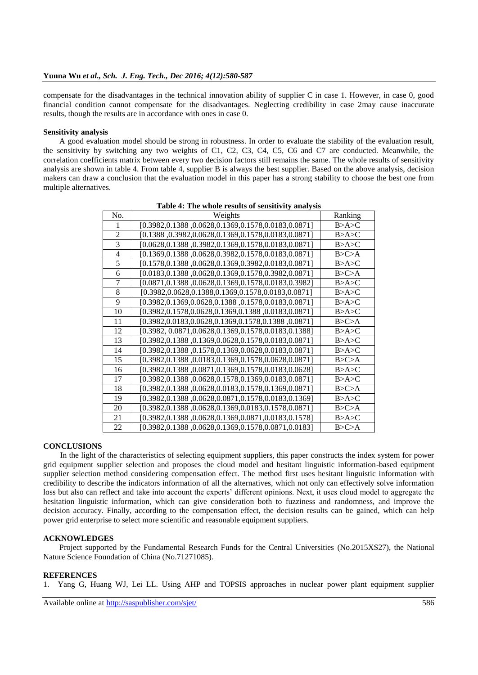compensate for the disadvantages in the technical innovation ability of supplier C in case 1. However, in case 0, good financial condition cannot compensate for the disadvantages. Neglecting credibility in case 2may cause inaccurate results, though the results are in accordance with ones in case 0.

### **Sensitivity analysis**

A good evaluation model should be strong in robustness. In order to evaluate the stability of the evaluation result, the sensitivity by switching any two weights of C1, C2, C3, C4, C5, C6 and C7 are conducted. Meanwhile, the correlation coefficients matrix between every two decision factors still remains the same. The whole results of sensitivity analysis are shown in table 4. From table 4, supplier B is always the best supplier. Based on the above analysis, decision makers can draw a conclusion that the evaluation model in this paper has a strong stability to choose the best one from multiple alternatives.

| No.            | Weights                                                    | Ranking   |
|----------------|------------------------------------------------------------|-----------|
|                | [0.3982,0.1388,0.0628,0.1369,0.1578,0.0183,0.0871]         | B > A > C |
| $\overline{2}$ | $[0.1388, 0.3982, 0.0628, 0.1369, 0.1578, 0.0183, 0.0871]$ | B > A > C |
| 3              | [0.0628,0.1388 ,0.3982,0.1369,0.1578,0.0183,0.0871]        | B > A > C |
| 4              | $[0.1369, 0.1388, 0.0628, 0.3982, 0.1578, 0.0183, 0.0871]$ | B > C > A |
| 5              | $[0.1578, 0.1388, 0.0628, 0.1369, 0.3982, 0.0183, 0.0871]$ | B > A > C |
| 6              | [0.0183,0.1388,0.0628,0.1369,0.1578,0.3982,0.0871]         | B > C > A |
| 7              | [0.0871,0.1388,0.0628,0.1369,0.1578,0.0183,0.3982]         | B > A > C |
| 8              | $[0.3982, 0.0628, 0.1388, 0.1369, 0.1578, 0.0183, 0.0871]$ | B > A > C |
| 9              | [0.3982,0.1369,0.0628,0.1388,0.1578,0.0183,0.0871]         | B > A > C |
| 10             | $[0.3982, 0.1578, 0.0628, 0.1369, 0.1388, 0.0183, 0.0871]$ | B > A > C |
| 11             | [0.3982,0.0183,0.0628,0.1369,0.1578,0.1388,0.0871]         | B > C > A |
| 12             | $[0.3982, 0.0871, 0.0628, 0.1369, 0.1578, 0.0183, 0.1388]$ | B > A > C |
| 13             | [0.3982,0.1388,0.1369,0.0628,0.1578,0.0183,0.0871]         | B>A>C     |
| 14             | [0.3982,0.1388,0.1578,0.1369,0.0628,0.0183,0.0871]         | B > A > C |
| 15             | [0.3982,0.1388,0.0183,0.1369,0.1578,0.0628,0.0871]         | B > C > A |
| 16             | [0.3982,0.1388,0.0871,0.1369,0.1578,0.0183,0.0628]         | B > A > C |
| 17             | [0.3982,0.1388,0.0628,0.1578,0.1369,0.0183,0.0871]         | B > A > C |
| 18             | $[0.3982, 0.1388, 0.0628, 0.0183, 0.1578, 0.1369, 0.0871]$ | B > C > A |
| 19             | [0.3982,0.1388,0.0628,0.0871,0.1578,0.0183,0.1369]         | B > A > C |
| 20             | [0.3982,0.1388,0.0628,0.1369,0.0183,0.1578,0.0871]         | B > C > A |
| 21             | [0.3982,0.1388,0.0628,0.1369,0.0871,0.0183,0.1578]         | B > A > C |
| 22             | [0.3982,0.1388,0.0628,0.1369,0.1578,0.0871,0.0183]         | B > C > A |

**Table 4: The whole results of sensitivity analysis**

#### **CONCLUSIONS**

In the light of the characteristics of selecting equipment suppliers, this paper constructs the index system for power grid equipment supplier selection and proposes the cloud model and hesitant linguistic information-based equipment supplier selection method considering compensation effect. The method first uses hesitant linguistic information with credibility to describe the indicators information of all the alternatives, which not only can effectively solve information loss but also can reflect and take into account the experts' different opinions. Next, it uses cloud model to aggregate the hesitation linguistic information, which can give consideration both to fuzziness and randomness, and improve the decision accuracy. Finally, according to the compensation effect, the decision results can be gained, which can help power grid enterprise to select more scientific and reasonable equipment suppliers.

#### **ACKNOWLEDGES**

Project supported by the Fundamental Research Funds for the Central Universities (No.2015XS27), the National Nature Science Foundation of China (No.71271085).

#### **REFERENCES**

1. Yang G, Huang WJ, Lei LL. Using AHP and TOPSIS approaches in nuclear power plant equipment supplier